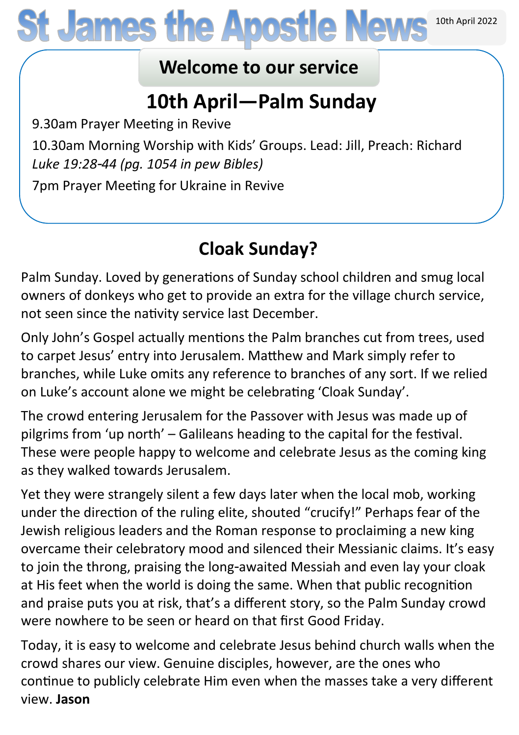# **St James the Apostle News** 10th April 2022

## **Welcome to our service**

# **10th April—Palm Sunday**

9.30am Prayer Meeting in Revive

10.30am Morning Worship with Kids' Groups. Lead: Jill, Preach: Richard *Luke 19:28-44 (pg. 1054 in pew Bibles)*

7pm Prayer Meeting for Ukraine in Revive

# **Cloak Sunday?**

Palm Sunday. Loved by generations of Sunday school children and smug local owners of donkeys who get to provide an extra for the village church service, not seen since the nativity service last December.

Only John's Gospel actually mentions the Palm branches cut from trees, used to carpet Jesus' entry into Jerusalem. Matthew and Mark simply refer to branches, while Luke omits any reference to branches of any sort. If we relied on Luke's account alone we might be celebrating 'Cloak Sunday'.

The crowd entering Jerusalem for the Passover with Jesus was made up of pilgrims from 'up north' – Galileans heading to the capital for the festival. These were people happy to welcome and celebrate Jesus as the coming king as they walked towards Jerusalem.

Yet they were strangely silent a few days later when the local mob, working under the direction of the ruling elite, shouted "crucify!" Perhaps fear of the Jewish religious leaders and the Roman response to proclaiming a new king overcame their celebratory mood and silenced their Messianic claims. It's easy to join the throng, praising the long-awaited Messiah and even lay your cloak at His feet when the world is doing the same. When that public recognition and praise puts you at risk, that's a different story, so the Palm Sunday crowd were nowhere to be seen or heard on that first Good Friday.

Today, it is easy to welcome and celebrate Jesus behind church walls when the crowd shares our view. Genuine disciples, however, are the ones who continue to publicly celebrate Him even when the masses take a very different view. **Jason**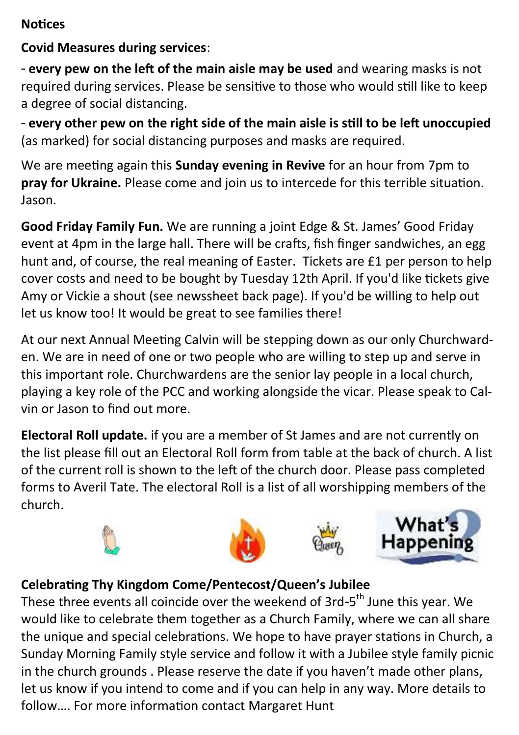#### **Notices**

**Covid Measures during services**:

- **every pew on the left of the main aisle may be used** and wearing masks is not required during services. Please be sensitive to those who would still like to keep a degree of social distancing.

- **every other pew on the right side of the main aisle is still to be left unoccupied**  (as marked) for social distancing purposes and masks are required.

We are meeting again this **Sunday evening in Revive** for an hour from 7pm to **pray for Ukraine.** Please come and join us to intercede for this terrible situation. Jason.

**Good Friday Family Fun.** We are running a joint Edge & St. James' Good Friday event at 4pm in the large hall. There will be crafts, fish finger sandwiches, an egg hunt and, of course, the real meaning of Easter. Tickets are £1 per person to help cover costs and need to be bought by Tuesday 12th April. If you'd like tickets give Amy or Vickie a shout (see newssheet back page). If you'd be willing to help out let us know too! It would be great to see families there!

At our next Annual Meeting Calvin will be stepping down as our only Churchwarden. We are in need of one or two people who are willing to step up and serve in this important role. Churchwardens are the senior lay people in a local church, playing a key role of the PCC and working alongside the vicar. Please speak to Calvin or Jason to find out more.

**Electoral Roll update.** if you are a member of St James and are not currently on the list please fill out an Electoral Roll form from table at the back of church. A list of the current roll is shown to the left of the church door. Please pass completed forms to Averil Tate. The electoral Roll is a list of all worshipping members of the church.







### **Celebrating Thy Kingdom Come/Pentecost/Queen's Jubilee**

These three events all coincide over the weekend of 3rd-5<sup>th</sup> June this year. We would like to celebrate them together as a Church Family, where we can all share the unique and special celebrations. We hope to have prayer stations in Church, a Sunday Morning Family style service and follow it with a Jubilee style family picnic in the church grounds . Please reserve the date if you haven't made other plans, let us know if you intend to come and if you can help in any way. More details to follow…. For more information contact Margaret Hunt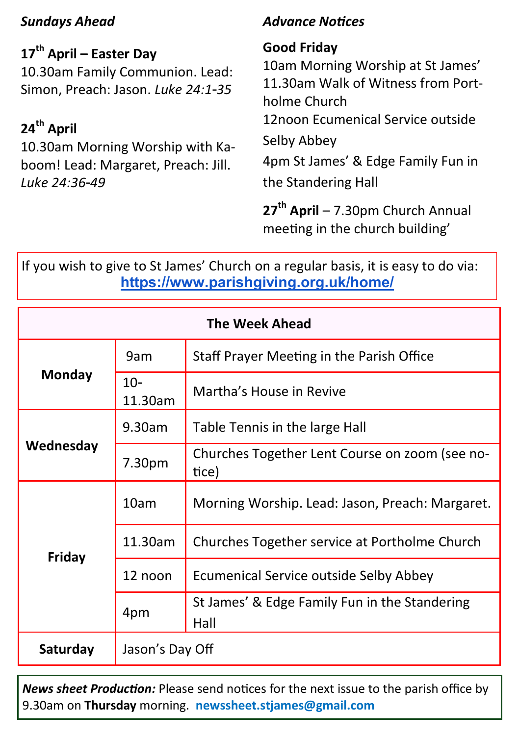#### *Sundays Ahead*

### **17th April – Easter Day**

10.30am Family Communion. Lead: Simon, Preach: Jason. *Luke 24:1-35*

## **24th April**

10.30am Morning Worship with Kaboom! Lead: Margaret, Preach: Jill. *Luke 24:36-49*

## *Advance Notices*

**Good Friday**

10am Morning Worship at St James' 11.30am Walk of Witness from Portholme Church

12noon Ecumenical Service outside

Selby Abbey

4pm St James' & Edge Family Fun in the Standering Hall

**27th April** – 7.30pm Church Annual meeting in the church building'

If you wish to give to St James' Church on a regular basis, it is easy to do via: **<https://www.parishgiving.org.uk/home/>**

| <b>The Week Ahead</b> |                    |                                                         |  |  |
|-----------------------|--------------------|---------------------------------------------------------|--|--|
| Monday                | 9am                | Staff Prayer Meeting in the Parish Office               |  |  |
|                       | $10-$<br>11.30am   | Martha's House in Revive                                |  |  |
| Wednesday             | 9.30am             | Table Tennis in the large Hall                          |  |  |
|                       | 7.30 <sub>pm</sub> | Churches Together Lent Course on zoom (see no-<br>tice) |  |  |
| Friday                | 10am               | Morning Worship. Lead: Jason, Preach: Margaret.         |  |  |
|                       | 11.30am            | Churches Together service at Portholme Church           |  |  |
|                       | 12 noon            | Ecumenical Service outside Selby Abbey                  |  |  |
|                       | 4pm                | St James' & Edge Family Fun in the Standering<br>Hall   |  |  |
| Saturday              | Jason's Day Off    |                                                         |  |  |

*News sheet Production:* Please send notices for the next issue to the parish office by 9.30am on **Thursday** morning. **newssheet.stjames@gmail.com**